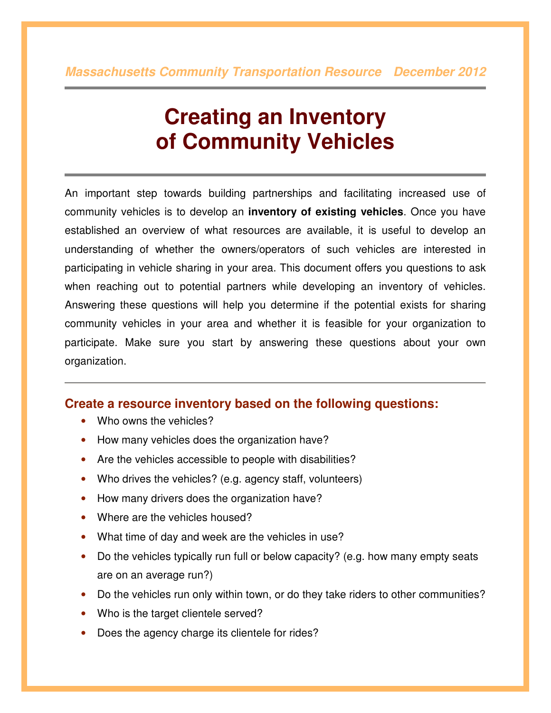## **Creating an Inventory of Community Vehicles**

An important step towards building partnerships and facilitating increased use of community vehicles is to develop an **inventory of existing vehicles**. Once you have established an overview of what resources are available, it is useful to develop an understanding of whether the owners/operators of such vehicles are interested in participating in vehicle sharing in your area. This document offers you questions to ask when reaching out to potential partners while developing an inventory of vehicles. Answering these questions will help you determine if the potential exists for sharing community vehicles in your area and whether it is feasible for your organization to participate. Make sure you start by answering these questions about your own organization.

## **Create a resource inventory based on the following questions:**

- Who owns the vehicles?
- How many vehicles does the organization have?
- Are the vehicles accessible to people with disabilities?
- Who drives the vehicles? (e.g. agency staff, volunteers)
- How many drivers does the organization have?
- Where are the vehicles housed?
- What time of day and week are the vehicles in use?
- Do the vehicles typically run full or below capacity? (e.g. how many empty seats are on an average run?)
- Do the vehicles run only within town, or do they take riders to other communities?
- Who is the target clientele served?
- Does the agency charge its clientele for rides?